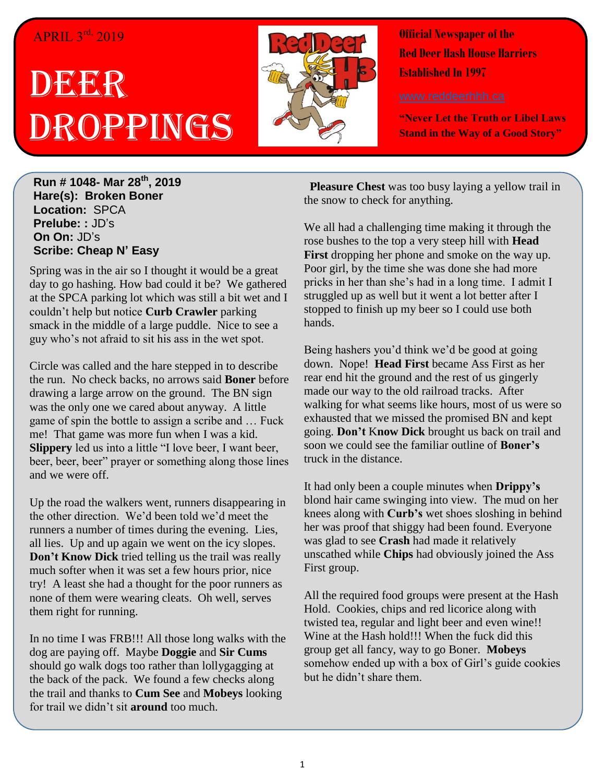## APRIL 3<sup>rd,</sup> 2019

## DEER Droppings



**Official Newspaper of the Red Deer Hash House Harriers Established In 1997** 

**"Never Let the Truth or Libel Laws Stand in the Way of a Good Story"**

**Run # 1048- Mar 28 th, 2019 Hare(s): Broken Boner Location:** SPCA **Prelube: :** JD's **On On:** JD's **Scribe: Cheap N' Easy**

Spring was in the air so I thought it would be a great day to go hashing. How bad could it be? We gathered at the SPCA parking lot which was still a bit wet and I couldn't help but notice **Curb Crawler** parking smack in the middle of a large puddle. Nice to see a guy who's not afraid to sit his ass in the wet spot.

Circle was called and the hare stepped in to describe the run. No check backs, no arrows said **Boner** before drawing a large arrow on the ground. The BN sign was the only one we cared about anyway. A little game of spin the bottle to assign a scribe and … Fuck me! That game was more fun when I was a kid. **Slippery** led us into a little "I love beer, I want beer, beer, beer, beer" prayer or something along those lines and we were off.

Up the road the walkers went, runners disappearing in the other direction. We'd been told we'd meet the runners a number of times during the evening. Lies, all lies. Up and up again we went on the icy slopes. **Don't Know Dick** tried telling us the trail was really much softer when it was set a few hours prior, nice try! A least she had a thought for the poor runners as none of them were wearing cleats. Oh well, serves them right for running.

In no time I was FRB!!! All those long walks with the dog are paying off. Maybe **Doggie** and **Sir Cums** should go walk dogs too rather than lollygagging at the back of the pack. We found a few checks along the trail and thanks to **Cum See** and **Mobeys** looking for trail we didn't sit **around** too much.

 **Pleasure Chest** was too busy laying a yellow trail in the snow to check for anything.

We all had a challenging time making it through the rose bushes to the top a very steep hill with **Head First** dropping her phone and smoke on the way up. Poor girl, by the time she was done she had more pricks in her than she's had in a long time. I admit I struggled up as well but it went a lot better after I stopped to finish up my beer so I could use both hands.

Being hashers you'd think we'd be good at going down. Nope! **Head First** became Ass First as her rear end hit the ground and the rest of us gingerly made our way to the old railroad tracks. After walking for what seems like hours, most of us were so exhausted that we missed the promised BN and kept going. **Don't** K**now Dick** brought us back on trail and soon we could see the familiar outline of **Boner's** truck in the distance.

It had only been a couple minutes when **Drippy's** blond hair came swinging into view. The mud on her knees along with **Curb's** wet shoes sloshing in behind her was proof that shiggy had been found. Everyone was glad to see **Crash** had made it relatively unscathed while **Chips** had obviously joined the Ass First group.

All the required food groups were present at the Hash Hold. Cookies, chips and red licorice along with twisted tea, regular and light beer and even wine!! Wine at the Hash hold!!! When the fuck did this group get all fancy, way to go Boner. **Mobeys** somehow ended up with a box of Girl's guide cookies but he didn't share them.